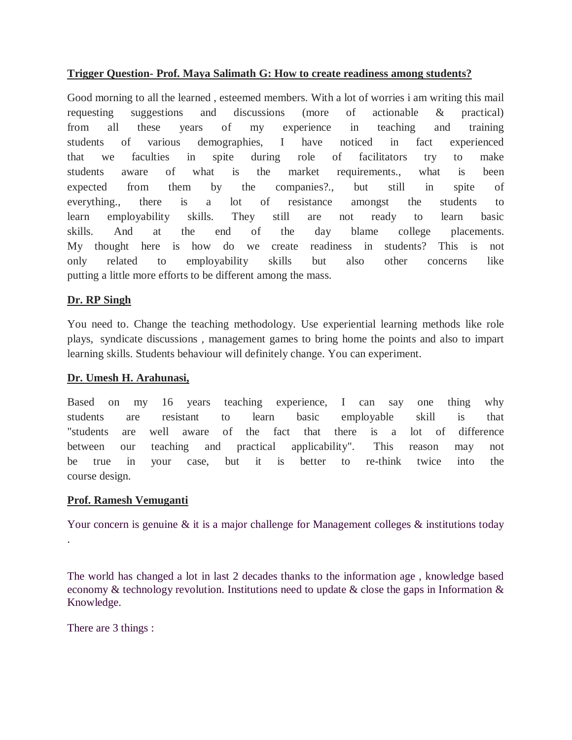## **Trigger Question- Prof. Maya Salimath G: How to create readiness among students?**

Good morning to all the learned , esteemed members. With a lot of worries i am writing this mail requesting suggestions and discussions (more of actionable & practical) from all these years of my experience in teaching and training students of various demographies, I have noticed in fact experienced that we faculties in spite during role of facilitators try to make students aware of what is the market requirements., what is been expected from them by the companies?., but still in spite of everything., there is a lot of resistance amongst the students to learn employability skills. They still are not ready to learn basic skills. And at the end of the day blame college placements. My thought here is how do we create readiness in students? This is not only related to employability skills but also other concerns like putting a little more efforts to be different among the mass.

## **Dr. RP Singh**

You need to. Change the teaching methodology. Use experiential learning methods like role plays, syndicate discussions , management games to bring home the points and also to impart learning skills. Students behaviour will definitely change. You can experiment.

## **Dr. Umesh H. Arahunasi,**

Based on my 16 years teaching experience, I can say one thing why students are resistant to learn basic employable skill is that "students are well aware of the fact that there is a lot of difference between our teaching and practical applicability". This reason may not be true in your case, but it is better to re-think twice into the course design.

## **Prof. Ramesh Vemuganti**

Your concern is genuine  $\&$  it is a major challenge for Management colleges  $\&$  institutions today .

The world has changed a lot in last 2 decades thanks to the information age , knowledge based economy & technology revolution. Institutions need to update & close the gaps in Information & Knowledge.

There are 3 things :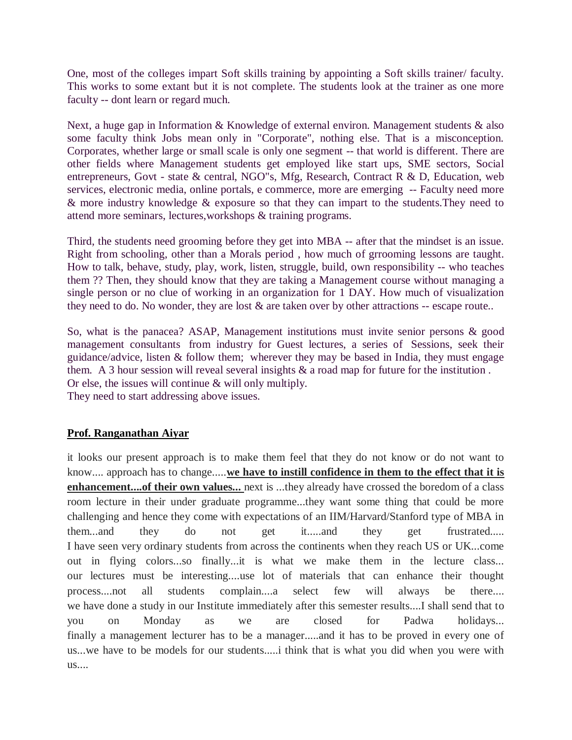One, most of the colleges impart Soft skills training by appointing a Soft skills trainer/ faculty. This works to some extant but it is not complete. The students look at the trainer as one more faculty -- dont learn or regard much.

Next, a huge gap in Information & Knowledge of external environ. Management students & also some faculty think Jobs mean only in "Corporate", nothing else. That is a misconception. Corporates, whether large or small scale is only one segment -- that world is different. There are other fields where Management students get employed like start ups, SME sectors, Social entrepreneurs, Govt - state & central, NGO"s, Mfg, Research, Contract R & D, Education, web services, electronic media, online portals, e commerce, more are emerging -- Faculty need more & more industry knowledge & exposure so that they can impart to the students.They need to attend more seminars, lectures,workshops & training programs.

Third, the students need grooming before they get into MBA -- after that the mindset is an issue. Right from schooling, other than a Morals period , how much of grrooming lessons are taught. How to talk, behave, study, play, work, listen, struggle, build, own responsibility -- who teaches them ?? Then, they should know that they are taking a Management course without managing a single person or no clue of working in an organization for 1 DAY. How much of visualization they need to do. No wonder, they are lost  $\&$  are taken over by other attractions -- escape route..

So, what is the panacea? ASAP, Management institutions must invite senior persons & good management consultants from industry for Guest lectures, a series of Sessions, seek their guidance/advice, listen  $\&$  follow them; wherever they may be based in India, they must engage them. A 3 hour session will reveal several insights & a road map for future for the institution . Or else, the issues will continue & will only multiply. They need to start addressing above issues.

## **Prof. Ranganathan Aiyar**

it looks our present approach is to make them feel that they do not know or do not want to know.... approach has to change.....**we have to instill confidence in them to the effect that it is enhancement....of their own values...** next is ...they already have crossed the boredom of a class room lecture in their under graduate programme...they want some thing that could be more challenging and hence they come with expectations of an IIM/Harvard/Stanford type of MBA in them...and they do not get it.....and they get frustrated..... I have seen very ordinary students from across the continents when they reach US or UK...come out in flying colors...so finally...it is what we make them in the lecture class... our lectures must be interesting....use lot of materials that can enhance their thought process....not all students complain....a select few will always be there.... we have done a study in our Institute immediately after this semester results....I shall send that to you on Monday as we are closed for Padwa holidays... finally a management lecturer has to be a manager.....and it has to be proved in every one of us...we have to be models for our students.....i think that is what you did when you were with us....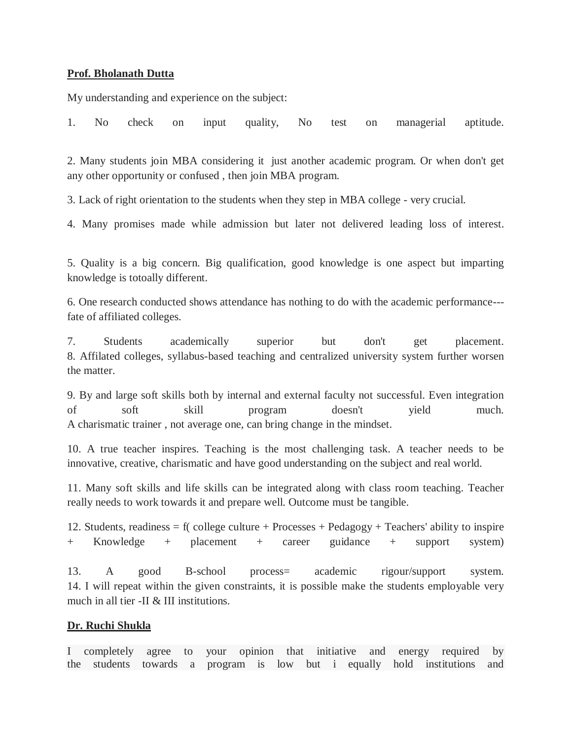#### **Prof. Bholanath Dutta**

My understanding and experience on the subject:

1. No check on input quality, No test on managerial aptitude.

2. Many students join MBA considering it just another academic program. Or when don't get any other opportunity or confused , then join MBA program.

3. Lack of right orientation to the students when they step in MBA college - very crucial.

4. Many promises made while admission but later not delivered leading loss of interest.

5. Quality is a big concern. Big qualification, good knowledge is one aspect but imparting knowledge is totoally different.

6. One research conducted shows attendance has nothing to do with the academic performance-- fate of affiliated colleges.

7. Students academically superior but don't get placement. 8. Affilated colleges, syllabus-based teaching and centralized university system further worsen the matter.

9. By and large soft skills both by internal and external faculty not successful. Even integration of soft skill program doesn't yield much. A charismatic trainer , not average one, can bring change in the mindset.

10. A true teacher inspires. Teaching is the most challenging task. A teacher needs to be innovative, creative, charismatic and have good understanding on the subject and real world.

11. Many soft skills and life skills can be integrated along with class room teaching. Teacher really needs to work towards it and prepare well. Outcome must be tangible.

12. Students, readiness = f( college culture + Processes + Pedagogy + Teachers' ability to inspire + Knowledge + placement + career guidance + support system)

13. A good B-school process= academic rigour/support system. 14. I will repeat within the given constraints, it is possible make the students employable very much in all tier -II & III institutions.

#### **Dr. Ruchi Shukla**

I completely agree to your opinion that initiative and energy required by the students towards a program is low but i equally hold institutions and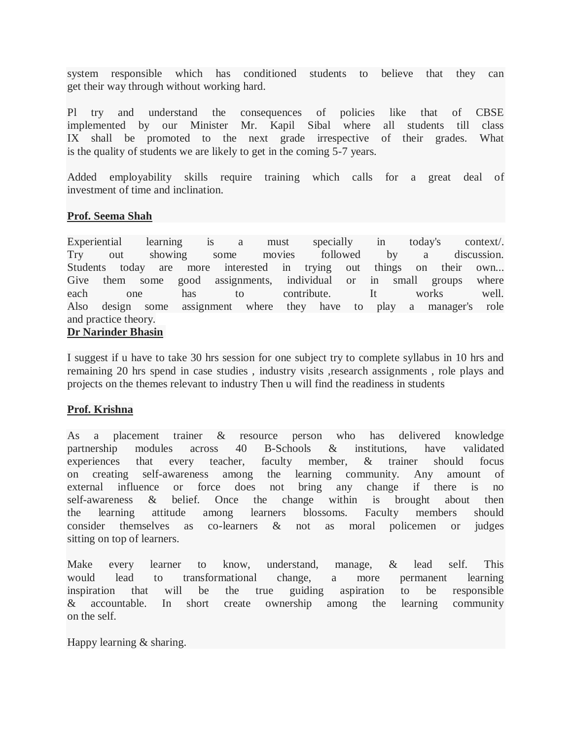system responsible which has conditioned students to believe that they can get their way through without working hard.

Pl try and understand the consequences of policies like that of CBSE implemented by our Minister Mr. Kapil Sibal where all students till class IX shall be promoted to the next grade irrespective of their grades. What is the quality of students we are likely to get in the coming 5-7 years.

Added employability skills require training which calls for a great deal of investment of time and inclination.

#### **Prof. Seema Shah**

Experiential learning is a must specially in today's context/. Try out showing some movies followed by a discussion. Students today are more interested in trying out things on their own... Give them some good assignments, individual or in small groups where each one has to contribute. It works well. Also design some assignment where they have to play a manager's role and practice theory.

#### **Dr Narinder Bhasin**

I suggest if u have to take 30 hrs session for one subject try to complete syllabus in 10 hrs and remaining 20 hrs spend in case studies , industry visits ,research assignments , role plays and projects on the themes relevant to industry Then u will find the readiness in students

#### **Prof. Krishna**

As a placement trainer & resource person who has delivered knowledge partnership modules across 40 B-Schools & institutions, have validated experiences that every teacher, faculty member, & trainer should focus on creating self-awareness among the learning community. Any amount of external influence or force does not bring any change if there is no self-awareness & belief. Once the change within is brought about then the learning attitude among learners blossoms. Faculty members should consider themselves as co-learners & not as moral policemen or judges sitting on top of learners.

Make every learner to know, understand, manage, & lead self. This would lead to transformational change, a more permanent learning inspiration that will be the true guiding aspiration to be responsible & accountable. In short create ownership among the learning community on the self.

Happy learning & sharing.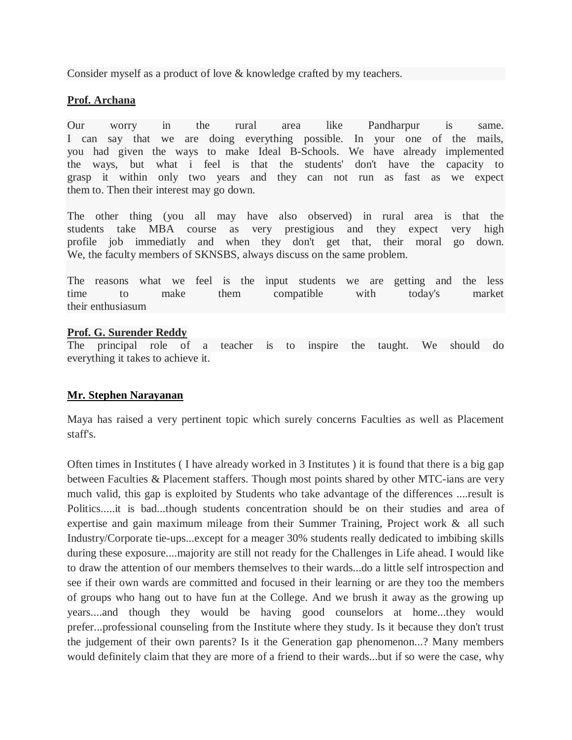Consider myself as a product of love & knowledge crafted by my teachers.

## **Prof. Archana**

Our worry in the rural area like Pandharpur is same. I can say that we are doing everything possible. In your one of the mails, you had given the ways to make Ideal B-Schools. We have already implemented the ways, but what i feel is that the students' don't have the capacity to grasp it within only two years and they can not run as fast as we expect them to. Then their interest may go down.

The other thing (you all may have also observed) in rural area is that the students take MBA course as very prestigious and they expect very high profile job immediatly and when they don't get that, their moral go down. We, the faculty members of SKNSBS, always discuss on the same problem.

The reasons what we feel is the input students we are getting and the less time to make them compatible with today's market their enthusiasum

#### **Prof. G. Surender Reddy**

The principal role of a teacher is to inspire the taught. We should do everything it takes to achieve it.

## **Mr. Stephen Narayanan**

Maya has raised a very pertinent topic which surely concerns Faculties as well as Placement staff's.

Often times in Institutes ( I have already worked in 3 Institutes ) it is found that there is a big gap between Faculties & Placement staffers. Though most points shared by other MTC-ians are very much valid, this gap is exploited by Students who take advantage of the differences ....result is Politics.....it is bad...though students concentration should be on their studies and area of expertise and gain maximum mileage from their Summer Training, Project work & all such Industry/Corporate tie-ups...except for a meager 30% students really dedicated to imbibing skills during these exposure....majority are still not ready for the Challenges in Life ahead. I would like to draw the attention of our members themselves to their wards...do a little self introspection and see if their own wards are committed and focused in their learning or are they too the members of groups who hang out to have fun at the College. And we brush it away as the growing up years....and though they would be having good counselors at home...they would prefer...professional counseling from the Institute where they study. Is it because they don't trust the judgement of their own parents? Is it the Generation gap phenomenon...? Many members would definitely claim that they are more of a friend to their wards...but if so were the case, why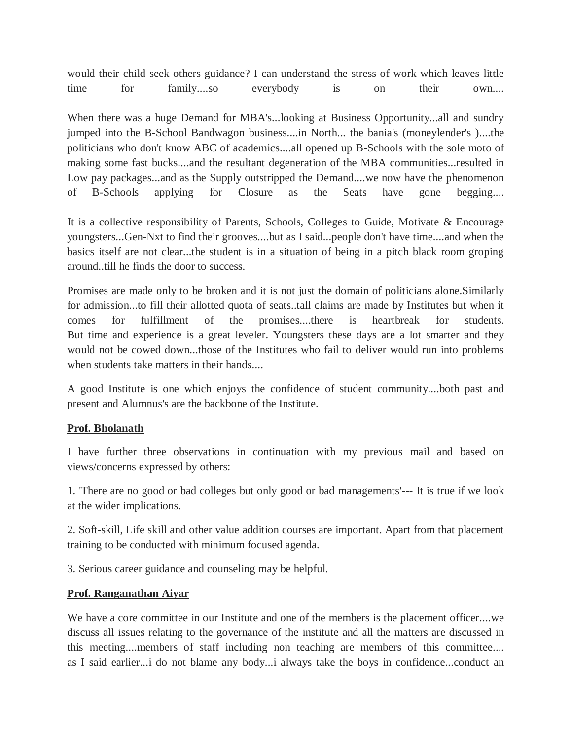would their child seek others guidance? I can understand the stress of work which leaves little time for family....so everybody is on their own....

When there was a huge Demand for MBA's...looking at Business Opportunity...all and sundry jumped into the B-School Bandwagon business....in North... the bania's (moneylender's )....the politicians who don't know ABC of academics....all opened up B-Schools with the sole moto of making some fast bucks....and the resultant degeneration of the MBA communities...resulted in Low pay packages...and as the Supply outstripped the Demand....we now have the phenomenon of B-Schools applying for Closure as the Seats have gone begging....

It is a collective responsibility of Parents, Schools, Colleges to Guide, Motivate & Encourage youngsters...Gen-Nxt to find their grooves....but as I said...people don't have time....and when the basics itself are not clear...the student is in a situation of being in a pitch black room groping around..till he finds the door to success.

Promises are made only to be broken and it is not just the domain of politicians alone.Similarly for admission...to fill their allotted quota of seats..tall claims are made by Institutes but when it comes for fulfillment of the promises....there is heartbreak for students. But time and experience is a great leveler. Youngsters these days are a lot smarter and they would not be cowed down...those of the Institutes who fail to deliver would run into problems when students take matters in their hands....

A good Institute is one which enjoys the confidence of student community....both past and present and Alumnus's are the backbone of the Institute.

## **Prof. Bholanath**

I have further three observations in continuation with my previous mail and based on views/concerns expressed by others:

1. 'There are no good or bad colleges but only good or bad managements'--- It is true if we look at the wider implications.

2. Soft-skill, Life skill and other value addition courses are important. Apart from that placement training to be conducted with minimum focused agenda.

3. Serious career guidance and counseling may be helpful.

# **Prof. Ranganathan Aiyar**

We have a core committee in our Institute and one of the members is the placement officer....we discuss all issues relating to the governance of the institute and all the matters are discussed in this meeting....members of staff including non teaching are members of this committee.... as I said earlier...i do not blame any body...i always take the boys in confidence...conduct an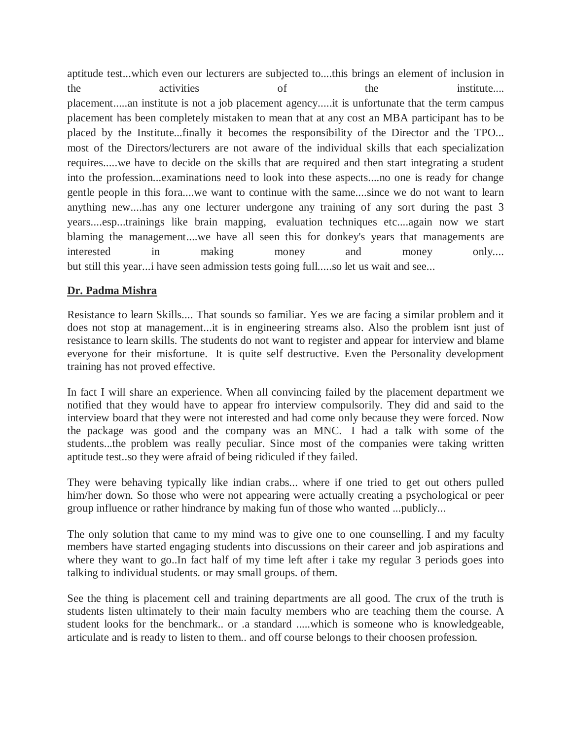aptitude test...which even our lecturers are subjected to....this brings an element of inclusion in the activities of the institute.... placement.....an institute is not a job placement agency.....it is unfortunate that the term campus placement has been completely mistaken to mean that at any cost an MBA participant has to be placed by the Institute...finally it becomes the responsibility of the Director and the TPO... most of the Directors/lecturers are not aware of the individual skills that each specialization requires.....we have to decide on the skills that are required and then start integrating a student into the profession...examinations need to look into these aspects....no one is ready for change gentle people in this fora....we want to continue with the same....since we do not want to learn anything new....has any one lecturer undergone any training of any sort during the past 3 years....esp...trainings like brain mapping, evaluation techniques etc....again now we start blaming the management....we have all seen this for donkey's years that managements are interested in making money and money only.... but still this year...i have seen admission tests going full.....so let us wait and see...

## **Dr. Padma Mishra**

Resistance to learn Skills.... That sounds so familiar. Yes we are facing a similar problem and it does not stop at management...it is in engineering streams also. Also the problem isnt just of resistance to learn skills. The students do not want to register and appear for interview and blame everyone for their misfortune. It is quite self destructive. Even the Personality development training has not proved effective.

In fact I will share an experience. When all convincing failed by the placement department we notified that they would have to appear fro interview compulsorily. They did and said to the interview board that they were not interested and had come only because they were forced. Now the package was good and the company was an MNC. I had a talk with some of the students...the problem was really peculiar. Since most of the companies were taking written aptitude test..so they were afraid of being ridiculed if they failed.

They were behaving typically like indian crabs... where if one tried to get out others pulled him/her down. So those who were not appearing were actually creating a psychological or peer group influence or rather hindrance by making fun of those who wanted ...publicly...

The only solution that came to my mind was to give one to one counselling. I and my faculty members have started engaging students into discussions on their career and job aspirations and where they want to go..In fact half of my time left after i take my regular 3 periods goes into talking to individual students. or may small groups. of them.

See the thing is placement cell and training departments are all good. The crux of the truth is students listen ultimately to their main faculty members who are teaching them the course. A student looks for the benchmark.. or .a standard .....which is someone who is knowledgeable, articulate and is ready to listen to them.. and off course belongs to their choosen profession.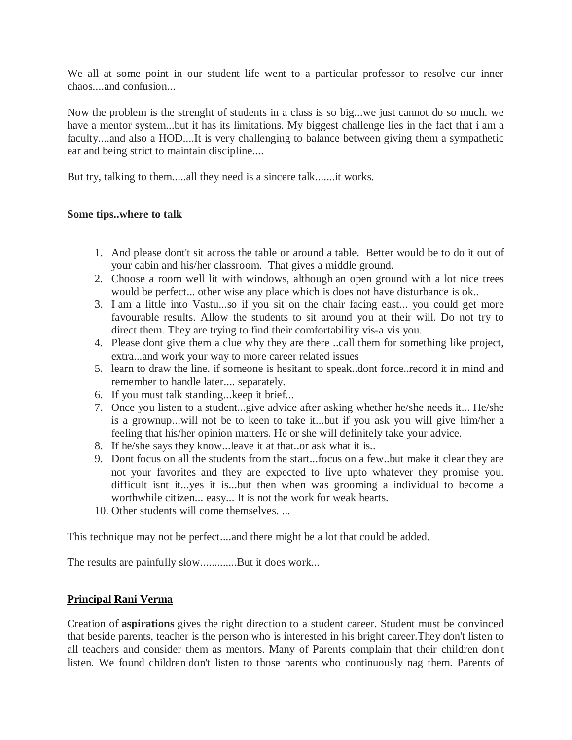We all at some point in our student life went to a particular professor to resolve our inner chaos....and confusion...

Now the problem is the strenght of students in a class is so big...we just cannot do so much. we have a mentor system...but it has its limitations. My biggest challenge lies in the fact that i am a faculty....and also a HOD....It is very challenging to balance between giving them a sympathetic ear and being strict to maintain discipline....

But try, talking to them.....all they need is a sincere talk.......it works.

#### **Some tips..where to talk**

- 1. And please dont't sit across the table or around a table. Better would be to do it out of your cabin and his/her classroom. That gives a middle ground.
- 2. Choose a room well lit with windows, although an open ground with a lot nice trees would be perfect... other wise any place which is does not have disturbance is ok..
- 3. I am a little into Vastu...so if you sit on the chair facing east... you could get more favourable results. Allow the students to sit around you at their will. Do not try to direct them. They are trying to find their comfortability vis-a vis you.
- 4. Please dont give them a clue why they are there ..call them for something like project, extra...and work your way to more career related issues
- 5. learn to draw the line. if someone is hesitant to speak..dont force..record it in mind and remember to handle later.... separately.
- 6. If you must talk standing...keep it brief...
- 7. Once you listen to a student...give advice after asking whether he/she needs it... He/she is a grownup...will not be to keen to take it...but if you ask you will give him/her a feeling that his/her opinion matters. He or she will definitely take your advice.
- 8. If he/she says they know...leave it at that..or ask what it is..
- 9. Dont focus on all the students from the start...focus on a few..but make it clear they are not your favorites and they are expected to live upto whatever they promise you. difficult isnt it...yes it is...but then when was grooming a individual to become a worthwhile citizen... easy... It is not the work for weak hearts.
- 10. Other students will come themselves. ...

This technique may not be perfect....and there might be a lot that could be added.

The results are painfully slow.............But it does work...

## **Principal Rani Verma**

Creation of **aspirations** gives the right direction to a student career. Student must be convinced that beside parents, teacher is the person who is interested in his bright career.They don't listen to all teachers and consider them as mentors. Many of Parents complain that their children don't listen. We found children don't listen to those parents who continuously nag them. Parents of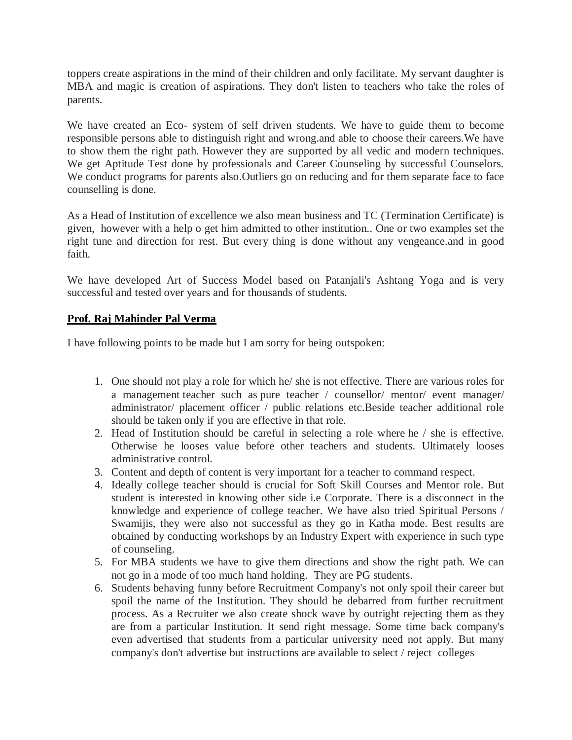toppers create aspirations in the mind of their children and only facilitate. My servant daughter is MBA and magic is creation of aspirations. They don't listen to teachers who take the roles of parents.

We have created an Eco- system of self driven students. We have to guide them to become responsible persons able to distinguish right and wrong.and able to choose their careers.We have to show them the right path. However they are supported by all vedic and modern techniques. We get Aptitude Test done by professionals and Career Counseling by successful Counselors. We conduct programs for parents also. Outliers go on reducing and for them separate face to face counselling is done.

As a Head of Institution of excellence we also mean business and TC (Termination Certificate) is given, however with a help o get him admitted to other institution.. One or two examples set the right tune and direction for rest. But every thing is done without any vengeance.and in good faith.

We have developed Art of Success Model based on Patanjali's Ashtang Yoga and is very successful and tested over years and for thousands of students.

#### **Prof. Raj Mahinder Pal Verma**

I have following points to be made but I am sorry for being outspoken:

- 1. One should not play a role for which he/ she is not effective. There are various roles for a management teacher such as pure teacher / counsellor/ mentor/ event manager/ administrator/ placement officer / public relations etc.Beside teacher additional role should be taken only if you are effective in that role.
- 2. Head of Institution should be careful in selecting a role where he / she is effective. Otherwise he looses value before other teachers and students. Ultimately looses administrative control.
- 3. Content and depth of content is very important for a teacher to command respect.
- 4. Ideally college teacher should is crucial for Soft Skill Courses and Mentor role. But student is interested in knowing other side i.e Corporate. There is a disconnect in the knowledge and experience of college teacher. We have also tried Spiritual Persons / Swamijis, they were also not successful as they go in Katha mode. Best results are obtained by conducting workshops by an Industry Expert with experience in such type of counseling.
- 5. For MBA students we have to give them directions and show the right path. We can not go in a mode of too much hand holding. They are PG students.
- 6. Students behaving funny before Recruitment Company's not only spoil their career but spoil the name of the Institution. They should be debarred from further recruitment process. As a Recruiter we also create shock wave by outright rejecting them as they are from a particular Institution. It send right message. Some time back company's even advertised that students from a particular university need not apply. But many company's don't advertise but instructions are available to select / reject colleges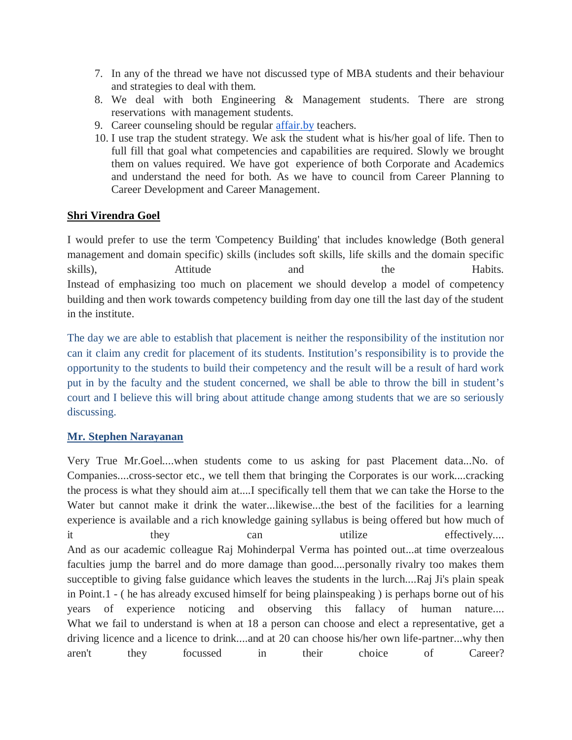- 7. In any of the thread we have not discussed type of MBA students and their behaviour and strategies to deal with them.
- 8. We deal with both Engineering & Management students. There are strong reservations with management students.
- 9. Career counseling should be regular affair.by teachers.
- 10. I use trap the student strategy. We ask the student what is his/her goal of life. Then to full fill that goal what competencies and capabilities are required. Slowly we brought them on values required. We have got experience of both Corporate and Academics and understand the need for both. As we have to council from Career Planning to Career Development and Career Management.

# **Shri Virendra Goel**

I would prefer to use the term 'Competency Building' that includes knowledge (Both general management and domain specific) skills (includes soft skills, life skills and the domain specific skills), Attitude and the Habits. Instead of emphasizing too much on placement we should develop a model of competency building and then work towards competency building from day one till the last day of the student in the institute.

The day we are able to establish that placement is neither the responsibility of the institution nor can it claim any credit for placement of its students. Institution's responsibility is to provide the opportunity to the students to build their competency and the result will be a result of hard work put in by the faculty and the student concerned, we shall be able to throw the bill in student's court and I believe this will bring about attitude change among students that we are so seriously discussing.

## **Mr. Stephen Narayanan**

Very True Mr.Goel....when students come to us asking for past Placement data...No. of Companies....cross-sector etc., we tell them that bringing the Corporates is our work....cracking the process is what they should aim at....I specifically tell them that we can take the Horse to the Water but cannot make it drink the water...likewise...the best of the facilities for a learning experience is available and a rich knowledge gaining syllabus is being offered but how much of it they can utilize effectively.... And as our academic colleague Raj Mohinderpal Verma has pointed out...at time overzealous faculties jump the barrel and do more damage than good....personally rivalry too makes them succeptible to giving false guidance which leaves the students in the lurch....Raj Ji's plain speak in Point.1 - ( he has already excused himself for being plainspeaking ) is perhaps borne out of his years of experience noticing and observing this fallacy of human nature.... What we fail to understand is when at 18 a person can choose and elect a representative, get a driving licence and a licence to drink....and at 20 can choose his/her own life-partner...why then aren't they focussed in their choice of Career?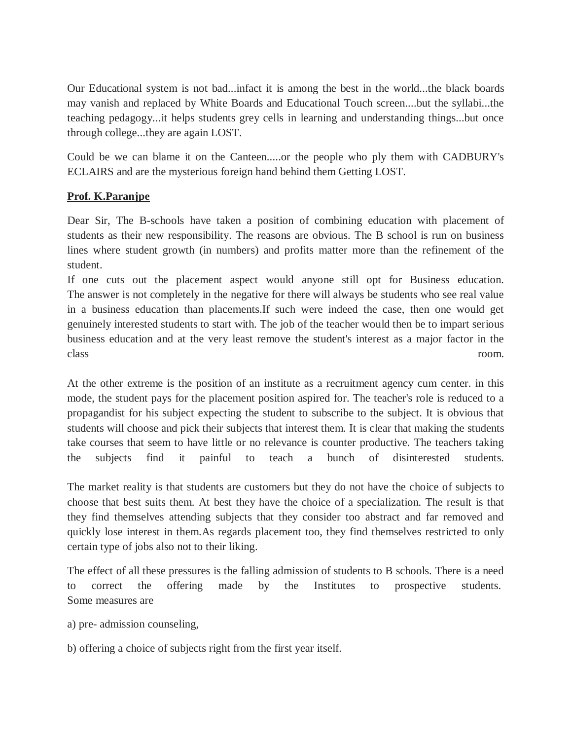Our Educational system is not bad...infact it is among the best in the world...the black boards may vanish and replaced by White Boards and Educational Touch screen....but the syllabi...the teaching pedagogy...it helps students grey cells in learning and understanding things...but once through college...they are again LOST.

Could be we can blame it on the Canteen.....or the people who ply them with CADBURY's ECLAIRS and are the mysterious foreign hand behind them Getting LOST.

# **Prof. K.Paranjpe**

Dear Sir, The B-schools have taken a position of combining education with placement of students as their new responsibility. The reasons are obvious. The B school is run on business lines where student growth (in numbers) and profits matter more than the refinement of the student.

If one cuts out the placement aspect would anyone still opt for Business education. The answer is not completely in the negative for there will always be students who see real value in a business education than placements.If such were indeed the case, then one would get genuinely interested students to start with. The job of the teacher would then be to impart serious business education and at the very least remove the student's interest as a major factor in the class room.

At the other extreme is the position of an institute as a recruitment agency cum center. in this mode, the student pays for the placement position aspired for. The teacher's role is reduced to a propagandist for his subject expecting the student to subscribe to the subject. It is obvious that students will choose and pick their subjects that interest them. It is clear that making the students take courses that seem to have little or no relevance is counter productive. The teachers taking the subjects find it painful to teach a bunch of disinterested students.

The market reality is that students are customers but they do not have the choice of subjects to choose that best suits them. At best they have the choice of a specialization. The result is that they find themselves attending subjects that they consider too abstract and far removed and quickly lose interest in them.As regards placement too, they find themselves restricted to only certain type of jobs also not to their liking.

The effect of all these pressures is the falling admission of students to B schools. There is a need to correct the offering made by the Institutes to prospective students. Some measures are

a) pre- admission counseling,

b) offering a choice of subjects right from the first year itself.